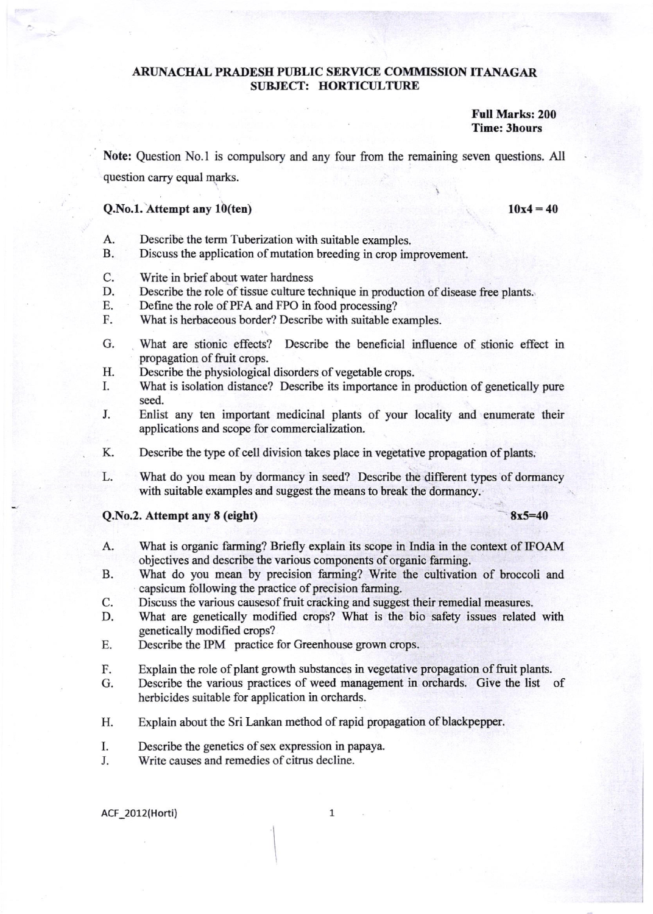## ARUNACHAL PRADESH PUBLIC SERVICE COMMISSION ITANAGAR SUBJECT: HORTICULTURE

Full Marks: 200 Time: 3hours

Note: Question No.l is compulsory and any four from the rernaining seven questions. All question carry equal marks.

## $Q.No.1.$  Attempt any  $10$ (ten)

 $10x4 = 40$ 

- A. Describe the term Tuberization with suitable examples.
- B. Discuss the application of mutation breeding in crop improvement.
- C. Write in brief about water hardness
- D. Describe the role of tissue culture technique in production of disease free plants.
- E. Define the role of PFA and FPO in food processing?
- F. What is herbaceous border? Describe with suitable examples.
- G. What are stionic effects? Describe the beneficial influence of stionic effect in propagation of fruit crops.
- H. Describe the physiological disorders of vegetable crops.
- I. What is isolation distance? Describe its importance in production of genetically pure seed.
- J. Enlist any ten important medicinal plants of your locality and enumerate their applications and scope for commercialization.
- K. Describe the type of cell division takes place in vegetative propagation of plants.
- L. What do you mean by dormancy in seed? Describe the different types of dormancy with suitable examples and suggest the means to break the dormancy.

## $Q.No.2.$  Attempt any 8 (eight)  $8x5=40$

- What is organic farming? Briefly explain its scope in India in the context of IFOAM objectives and describe the various components of organic farming. A.
- What do you mean by precision farming? Write the cultivation of broccoli and capsicum following the practice of precision farrning. B.
- Discuss the various causesof fruit cracking and suggest their remedial measures. C.
- What are genetically modified crops? What is the bio safety issues related with genetically modified crops? D.
- Describe the IPM practice for Greenhouse grown crops. E.
- Explain the role of plant growth substances in vegetative propagation of fruit plants. F.
- Describe the various practices of weed management in orchards. Give the list of herbicides suitable for application in orchards. G.
- Explain about the Sri Lankan method of rapid propagation of blackpepper. H.
- Describe the genetics of sex expression in papaya. I
- Write causes and remedies of citrus decline. J

ACF 2012(Horti) 1